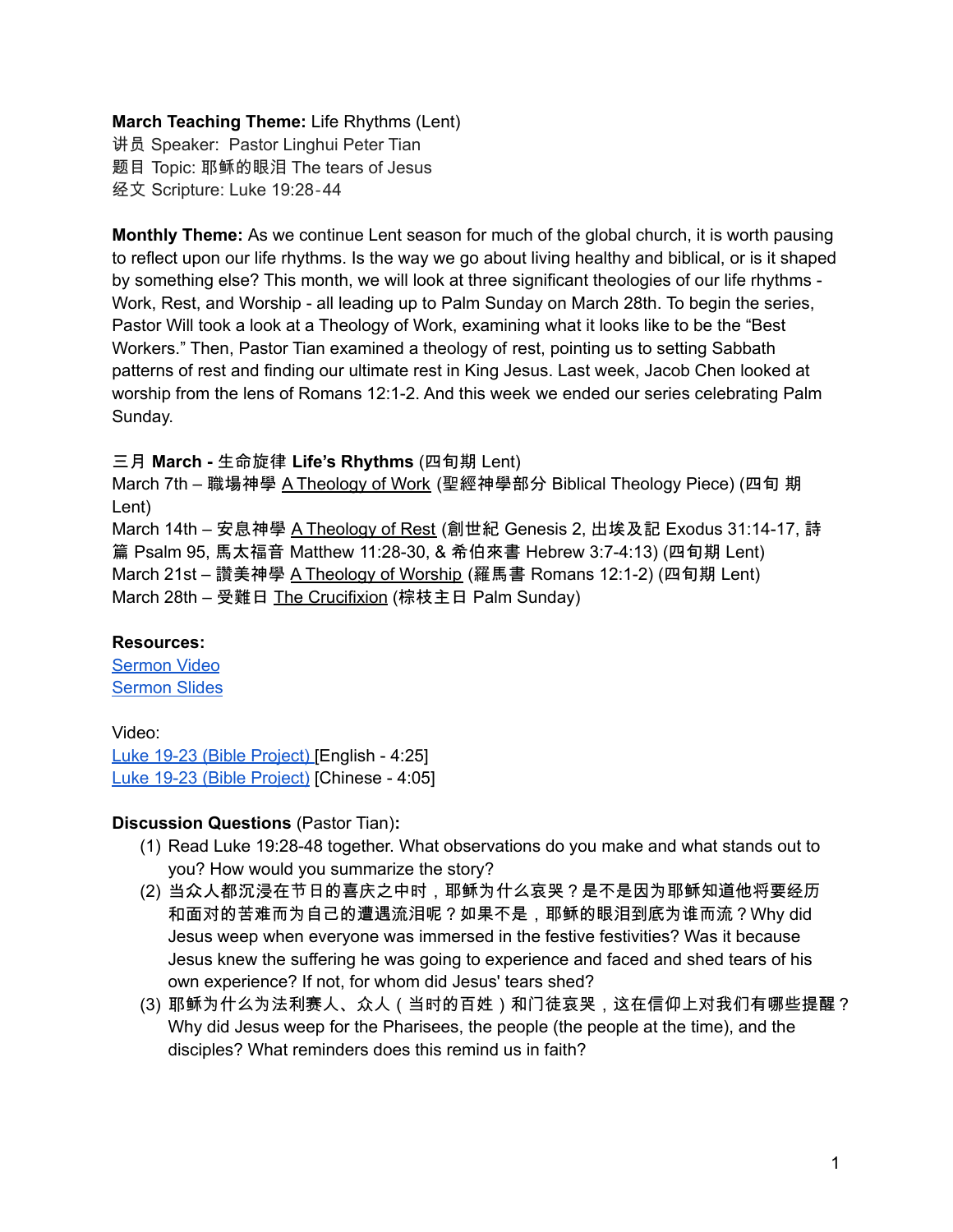# **March Teaching Theme:** Life Rhythms (Lent)

讲员 Speaker: Pastor Linghui Peter Tian 题目 Topic: 耶稣的眼泪 The tears of Jesus 经文 Scripture: Luke 19:28‐44

**Monthly Theme:** As we continue Lent season for much of the global church, it is worth pausing to reflect upon our life rhythms. Is the way we go about living healthy and biblical, or is it shaped by something else? This month, we will look at three significant theologies of our life rhythms - Work, Rest, and Worship - all leading up to Palm Sunday on March 28th. To begin the series, Pastor Will took a look at a Theology of Work, examining what it looks like to be the "Best Workers." Then, Pastor Tian examined a theology of rest, pointing us to setting Sabbath patterns of rest and finding our ultimate rest in King Jesus. Last week, Jacob Chen looked at worship from the lens of Romans 12:1-2. And this week we ended our series celebrating Palm Sunday.

#### 三月 **March -** 生命旋律 **Life's Rhythms** (四旬期 Lent)

March 7th – 職場神學 A Theology of Work (聖經神學部分 Biblical Theology Piece) (四旬 期 Lent)

March 14th – 安息神學 A Theology of Rest (創世紀 Genesis 2, 出埃及記 Exodus 31:14-17, 詩 篇 Psalm 95, 馬太福音 Matthew 11:28-30, & 希伯來書 Hebrew 3:7-4:13) (四旬期 Lent) March 21st – 讚美神學 A Theology of Worship (羅馬書 Romans 12:1-2) (四旬期 Lent) March 28th – 受難日 The Crucifixion (棕枝主日 Palm Sunday)

## **Resources:**

[Sermon](https://www.youtube.com/watch?v=W1dzFhpce-0) Video [Sermon](http://www.lcccky.org/CellGroup/Meetings/The%20tears%20of%20Jesus%20032821%20Tian.pdf) Slides

Video: Luke 19-23 (Bible [Project\)](https://bibleproject.com/explore/video/gospel-luke-4) [English - 4:25] Luke 19-23 (Bible [Project\)](https://www.youtube.com/watch?v=v8ac-MkaHlo) [Chinese - 4:05]

## **Discussion Questions** (Pastor Tian)**:**

- (1) Read Luke 19:28-48 together. What observations do you make and what stands out to you? How would you summarize the story?
- (2) 当众人都沉浸在节日的喜庆之中时,耶稣为什么哀哭?是不是因为耶稣知道他将要经历 和面对的苦难而为自己的遭遇流泪呢?如果不是,耶稣的眼泪到底为谁而流?Why did Jesus weep when everyone was immersed in the festive festivities? Was it because Jesus knew the suffering he was going to experience and faced and shed tears of his own experience? If not, for whom did Jesus' tears shed?
- (3) 耶稣为什么为法利赛人、众人(当时的百姓)和门徒哀哭,这在信仰上对我们有哪些提醒? Why did Jesus weep for the Pharisees, the people (the people at the time), and the disciples? What reminders does this remind us in faith?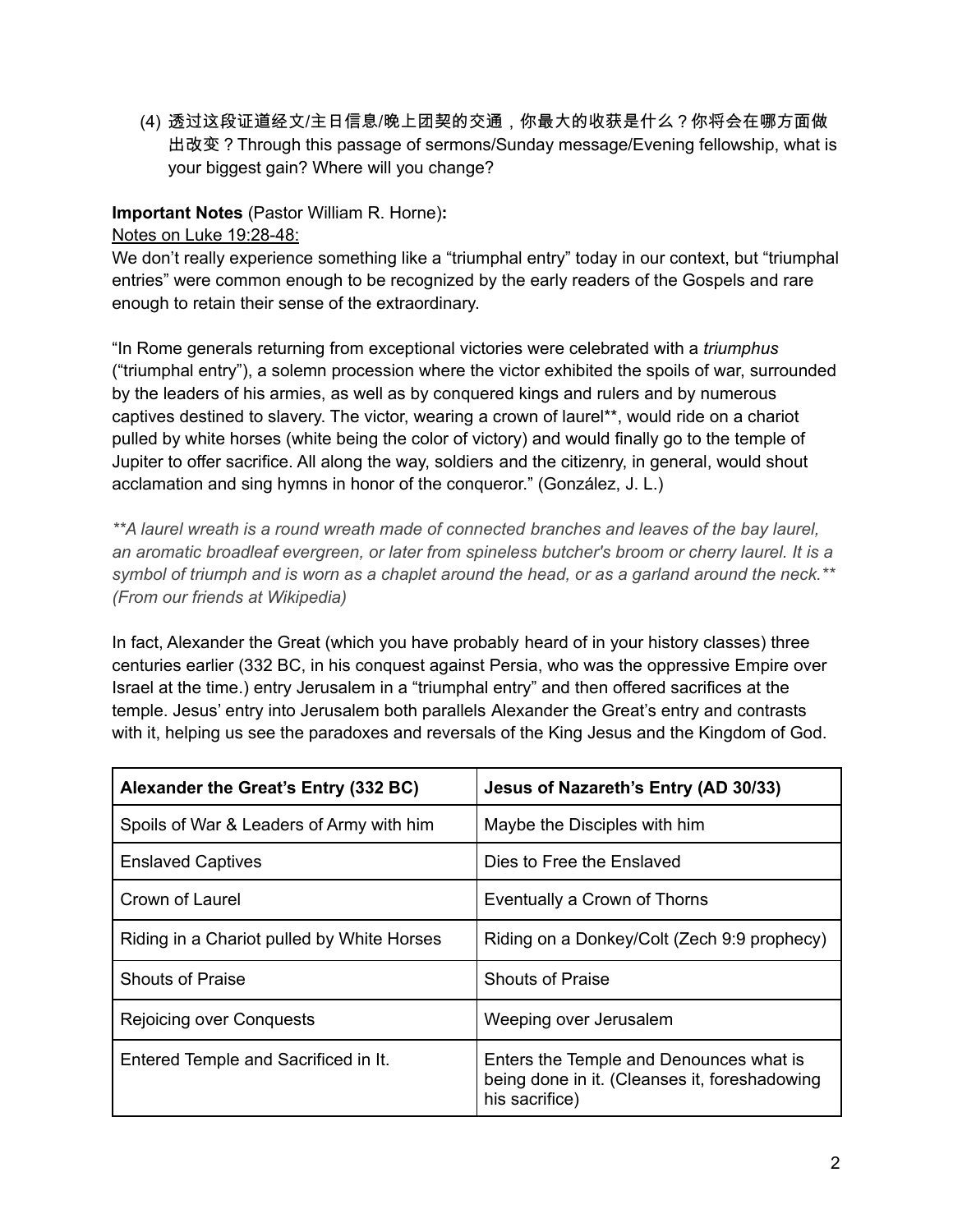(4) 透过这段证道经文/主日信息/晚上团契的交通,你最大的收获是什么?你将会在哪方面做 出改变?Through this passage of sermons/Sunday message/Evening fellowship, what is your biggest gain? Where will you change?

# **Important Notes** (Pastor William R. Horne)**:**

# Notes on Luke 19:28-48:

We don't really experience something like a "triumphal entry" today in our context, but "triumphal entries" were common enough to be recognized by the early readers of the Gospels and rare enough to retain their sense of the extraordinary.

"In Rome generals returning from exceptional victories were celebrated with a *triumphus* ("triumphal entry"), a solemn procession where the victor exhibited the spoils of war, surrounded by the leaders of his armies, as well as by conquered kings and rulers and by numerous captives destined to slavery. The victor, wearing a crown of laurel\*\*, would ride on a chariot pulled by white horses (white being the color of victory) and would finally go to the temple of Jupiter to offer sacrifice. All along the way, soldiers and the citizenry, in general, would shout acclamation and sing hymns in honor of the conqueror." (González, J. L.)

*\*\*A laurel wreath is a round wreath made of connected branches and leaves of the bay laurel, an aromatic broadleaf evergreen, or later from spineless butcher's broom or cherry laurel. It is a* symbol of triumph and is worn as a chaplet around the head, or as a garland around the neck.\*\* *(From our friends at Wikipedia)*

In fact, Alexander the Great (which you have probably heard of in your history classes) three centuries earlier (332 BC, in his conquest against Persia, who was the oppressive Empire over Israel at the time.) entry Jerusalem in a "triumphal entry" and then offered sacrifices at the temple. Jesus' entry into Jerusalem both parallels Alexander the Great's entry and contrasts with it, helping us see the paradoxes and reversals of the King Jesus and the Kingdom of God.

| Alexander the Great's Entry (332 BC)       | Jesus of Nazareth's Entry (AD 30/33)                                                                       |
|--------------------------------------------|------------------------------------------------------------------------------------------------------------|
| Spoils of War & Leaders of Army with him   | Maybe the Disciples with him                                                                               |
| <b>Enslaved Captives</b>                   | Dies to Free the Enslaved                                                                                  |
| Crown of Laurel                            | Eventually a Crown of Thorns                                                                               |
| Riding in a Chariot pulled by White Horses | Riding on a Donkey/Colt (Zech 9:9 prophecy)                                                                |
| <b>Shouts of Praise</b>                    | <b>Shouts of Praise</b>                                                                                    |
| Rejoicing over Conquests                   | Weeping over Jerusalem                                                                                     |
| Entered Temple and Sacrificed in It.       | Enters the Temple and Denounces what is<br>being done in it. (Cleanses it, foreshadowing<br>his sacrifice) |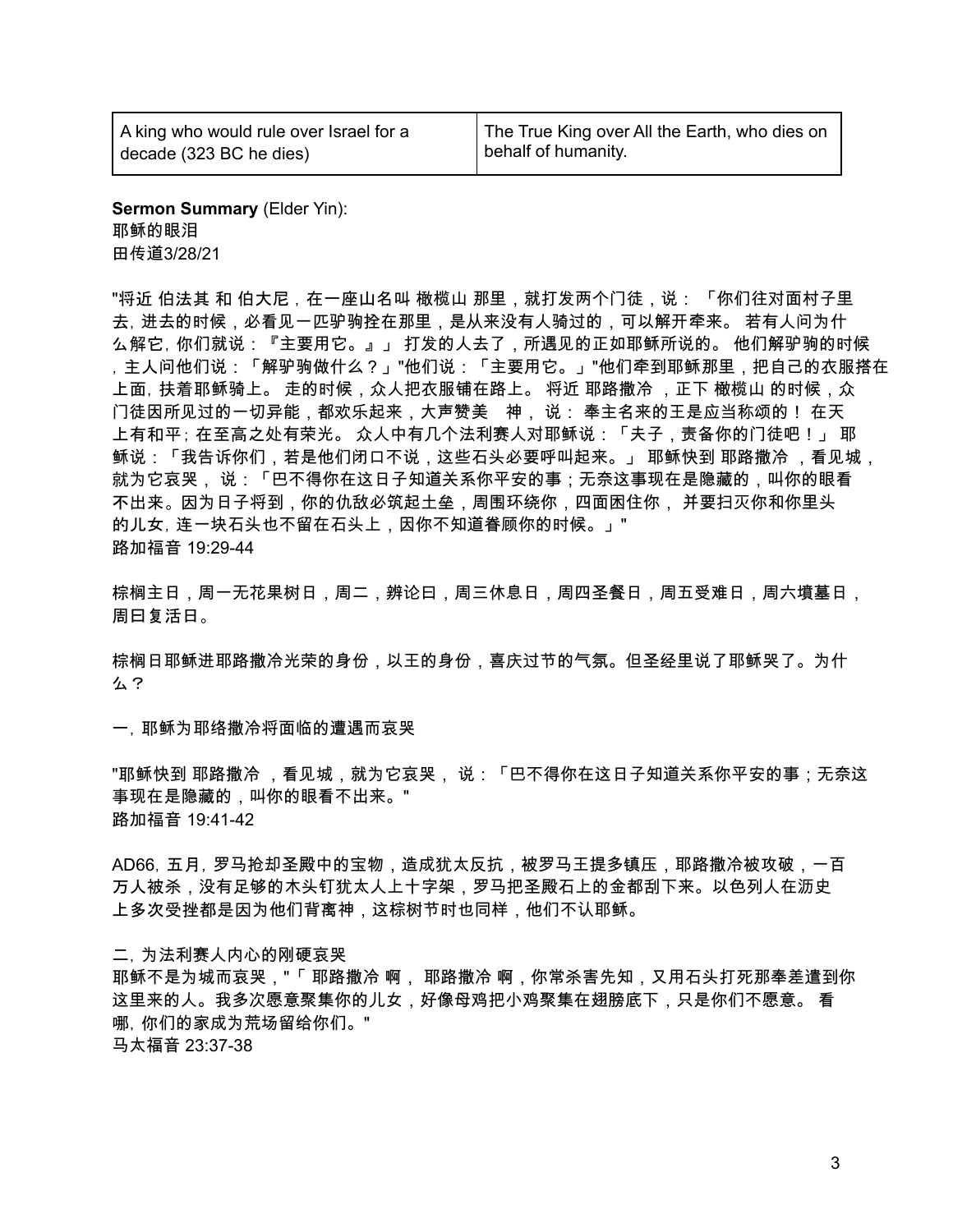A king who would rule over Israel for a decade (323 BC he dies)

**Sermon Summary** (Elder Yin): 耶稣的眼泪 田传道3/28/21

"将近 伯法其 和 伯大尼 , 在一座山名叫 橄榄山 那里,就打发两个门徒,说: 「你们往对面村子里 去,进去的时候,必看见一匹驴驹拴在那里,是从来没有人骑过的,可以解开牵来。 若有人问为什 么解它,你们就说:『主要用它。』」 打发的人去了,所遇见的正如耶稣所说的。 他们解驴驹的时候 ,主人问他们说:「解驴驹做什么?」"他们说:「主要用它。」"他们牵到耶稣那里,把自己的衣服搭在 上面, 扶着耶稣骑上。 走的时候,众人把衣服铺在路上。 将近 耶路撒冷 ,正下 橄榄山 的时候,众 门徒因所见过的一切异能,都欢乐起来,大声赞美 神, 说: 奉主名来的王是应当称颂的! 在天 上有和平; 在至高之处有荣光。 众人中有几个法利赛人对耶稣说:「夫子,责备你的门徒吧!」 耶 稣说:「我告诉你们,若是他们闭口不说,这些石头必要呼叫起来。」 耶稣快到 耶路撒冷 ,看见城, 就为它哀哭, 说:「巴不得你在这日子知道关系你平安的事;无奈这事现在是隐藏的,叫你的眼看 不出来。 因为日子将到,你的仇敌必筑起土垒,周围环绕你,四面困住你, 并要扫灭你和你里头 的儿女, 连一块石头也不留在石头上, 因你不知道眷顾你的时候。」" 路加福音 19:29-44

棕榈主日,周一无花果树日,周二,辨论曰,周三休息日,周四圣餐日,周五受难日,周六墳墓日, 周曰复活日。

棕榈日耶稣进耶路撒冷光荣的身份,以王的身份,喜庆过节的气氛。但圣经里说了耶稣哭了。为什 么?

一,耶稣为耶络撒冷将面临的遭遇而哀哭

"耶稣快到 耶路撒冷 ,看见城,就为它哀哭, 说:「巴不得你在这日子知道关系你平安的事;无奈这 事现在是隐藏的,叫你的眼看不出来。" 路加福音 19:41-42

AD66,五月,罗马抢却圣殿中的宝物,造成犹太反抗,被罗马王提多镇压,耶路撒冷被攻破,一百 万人被杀,没有足够的木头钉犹太人上十字架,罗马把圣殿石上的金都刮下来。以色列人在沥史 上多次受挫都是因为他们背离神,这棕树节时也同样,他们不认耶稣。

二,为法利赛人内心的刚硬哀哭

耶稣不是为城而哀哭,"「 耶路撒冷 啊, 耶路撒冷 啊,你常杀害先知,又用石头打死那奉差遣到你 这里来的人。我多次愿意聚集你的儿女,好像母鸡把小鸡聚集在翅膀底下,只是你们不愿意。 看 哪,你们的家成为荒场留给你们。" 马太福音 23:37-38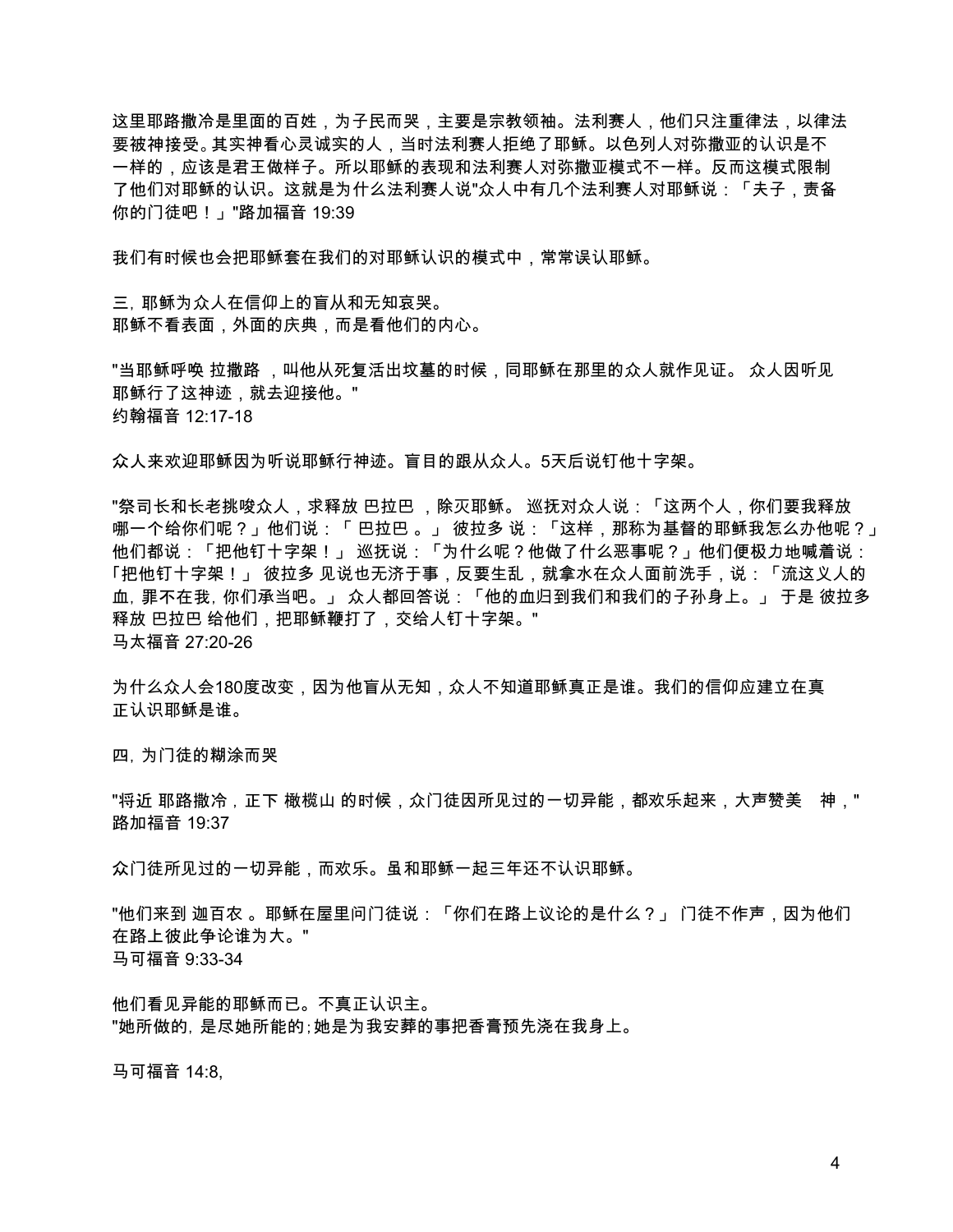这里耶路撒冷是里面的百姓,为子民而哭,主要是宗教领袖。法利赛人,他们只注重律法,以律法 要被神接受。其实神看心灵诚实的人,当时法利赛人拒绝了耶稣。以色列人对弥撒亚的认识是不 一样的,应该是君王做样子。所以耶稣的表现和法利赛人对弥撒亚模式不一样。反而这模式限制 了他们对耶稣的认识。这就是为什么法利赛人说"众人中有几个法利赛人对耶稣说:「夫子,责备 你的门徒吧!」"路加福音 19:39

我们有时候也会把耶稣套在我们的对耶稣认识的模式中,常常误认耶稣。

三,耶稣为众人在信仰上的盲从和无知哀哭。 耶稣不看表面,外面的庆典,而是看他们的内心。

"当耶稣呼唤 拉撒路 ,叫他从死复活出坟墓的时候,同耶稣在那里的众人就作见证。 众人因听见 耶稣行了这神迹,就去迎接他。" 约翰福音 12:17-18

众人来欢迎耶稣因为听说耶稣行神迹。盲目的跟从众人。5天后说钉他十字架。

"祭司长和长老挑唆众人,求释放 巴拉巴 ,除灭耶稣。 巡抚对众人说:「这两个人,你们要我释放 哪一个给你们呢?」他们说:「 巴拉巴 。」 彼拉多 说:「这样,那称为基督的耶稣我怎么办他呢?」 他们都说:「把他钉十字架!」 巡抚说:「为什么呢?他做了什么恶事呢?」他们便极力地喊着说: 「把他钉十字架!」 彼拉多 见说也无济于事,反要生乱,就拿水在众人面前洗手,说:「流这义人的 血,罪不在我,你们承当吧。」 众人都回答说:「他的血归到我们和我们的子孙身上。」 于是 彼拉多 释放 巴拉巴 给他们,把耶稣鞭打了,交给人钉十字架。" 马太福音 27:20-26

为什么众人会180度改变,因为他盲从无知,众人不知道耶稣真正是谁。我们的信仰应建立在真 正认识耶稣是谁。

四,为门徒的糊涂而哭

"将近 耶路撒冷,正下 橄榄山 的时候,众门徒因所见过的一切异能,都欢乐起来,大声赞美 神," 路加福音 19:37

众门徒所见过的一切异能,而欢乐。虽和耶稣一起三年还不认识耶稣。

"他们来到 迦百农 。耶稣在屋里问门徒说:「你们在路上议论的是什么?」 门徒不作声,因为他们 在路上彼此争论谁为大。" 马可福音 9:33-34

他们看见异能的耶稣而已。不真正认识主。 "她所做的,是尽她所能的;她是为我安葬的事把香膏预先浇在我身上。

马可福音 14:8,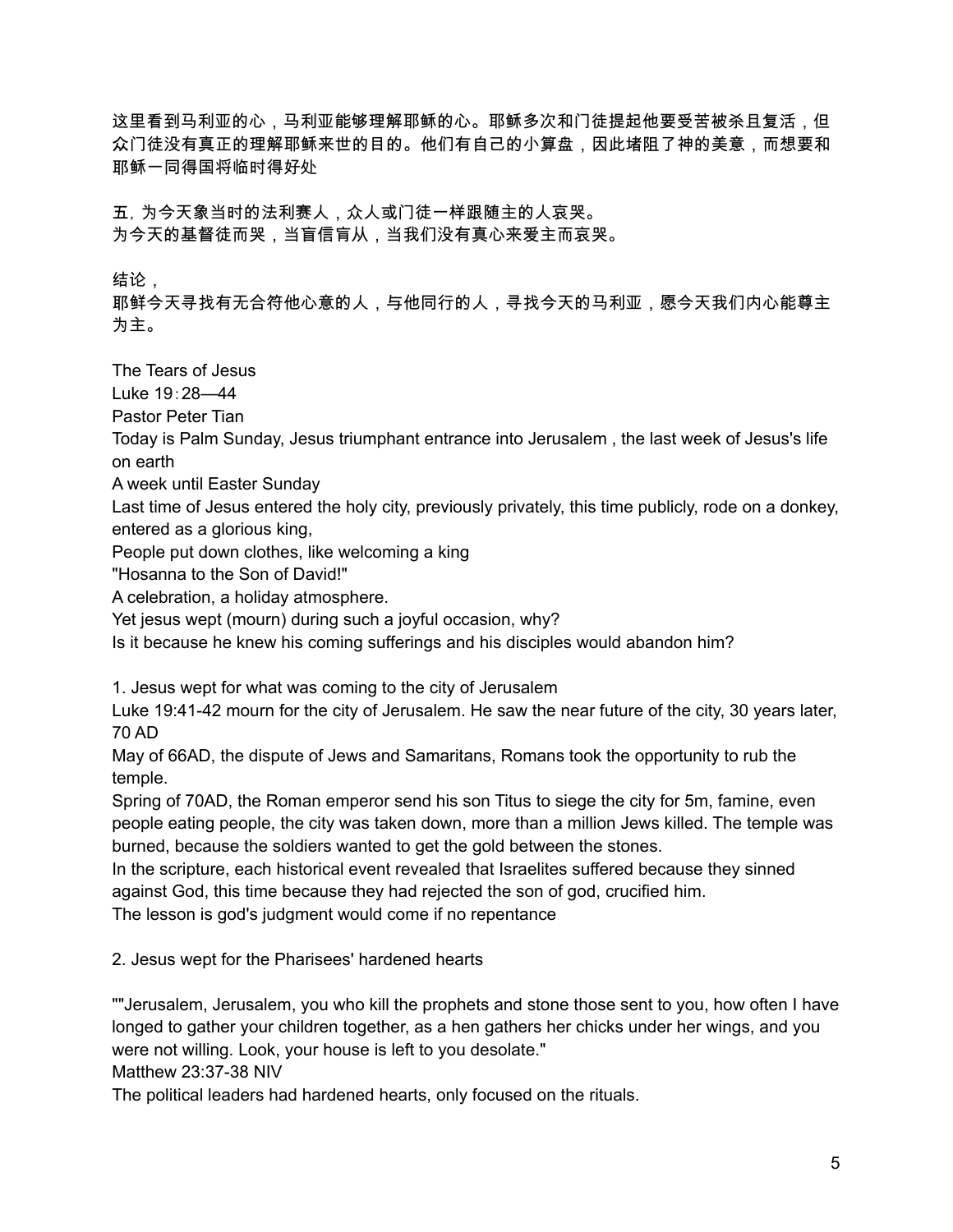这里看到马利亚的心,马利亚能够理解耶稣的心。耶稣多次和门徒提起他要受苦被杀且复活,但 众门徒没有真正的理解耶稣来世的目的。他们有自己的小算盘,因此堵阻了神的美意,而想要和 耶稣一同得国将临时得好处

五,为今天象当时的法利赛人,众人或门徒一样跟随主的人哀哭。 为今天的基督徒而哭,当盲信肓从,当我们没有真心来爱主而哀哭。

结论,

耶鲜今天寻找有无合符他心意的人,与他同行的人,寻找今天的马利亚,愿今天我们内心能尊主 为主。

The Tears of Jesus

Luke 19:28—44

Pastor Peter Tian

Today is Palm Sunday, Jesus triumphant entrance into Jerusalem , the last week of Jesus's life on earth

A week until Easter Sunday

Last time of Jesus entered the holy city, previously privately, this time publicly, rode on a donkey, entered as a glorious king,

People put down clothes, like welcoming a king

"Hosanna to the Son of David!"

A celebration, a holiday atmosphere.

Yet jesus wept (mourn) during such a joyful occasion, why?

Is it because he knew his coming sufferings and his disciples would abandon him?

1. Jesus wept for what was coming to the city of Jerusalem

Luke 19:41-42 mourn for the city of Jerusalem. He saw the near future of the city, 30 years later, 70 AD

May of 66AD, the dispute of Jews and Samaritans, Romans took the opportunity to rub the temple.

Spring of 70AD, the Roman emperor send his son Titus to siege the city for 5m, famine, even people eating people, the city was taken down, more than a million Jews killed. The temple was burned, because the soldiers wanted to get the gold between the stones.

In the scripture, each historical event revealed that Israelites suffered because they sinned against God, this time because they had rejected the son of god, crucified him.

The lesson is god's judgment would come if no repentance

2. Jesus wept for the Pharisees' hardened hearts

""Jerusalem, Jerusalem, you who kill the prophets and stone those sent to you, how often I have longed to gather your children together, as a hen gathers her chicks under her wings, and you were not willing. Look, your house is left to you desolate."

Matthew 23:37-38 NIV

The political leaders had hardened hearts, only focused on the rituals.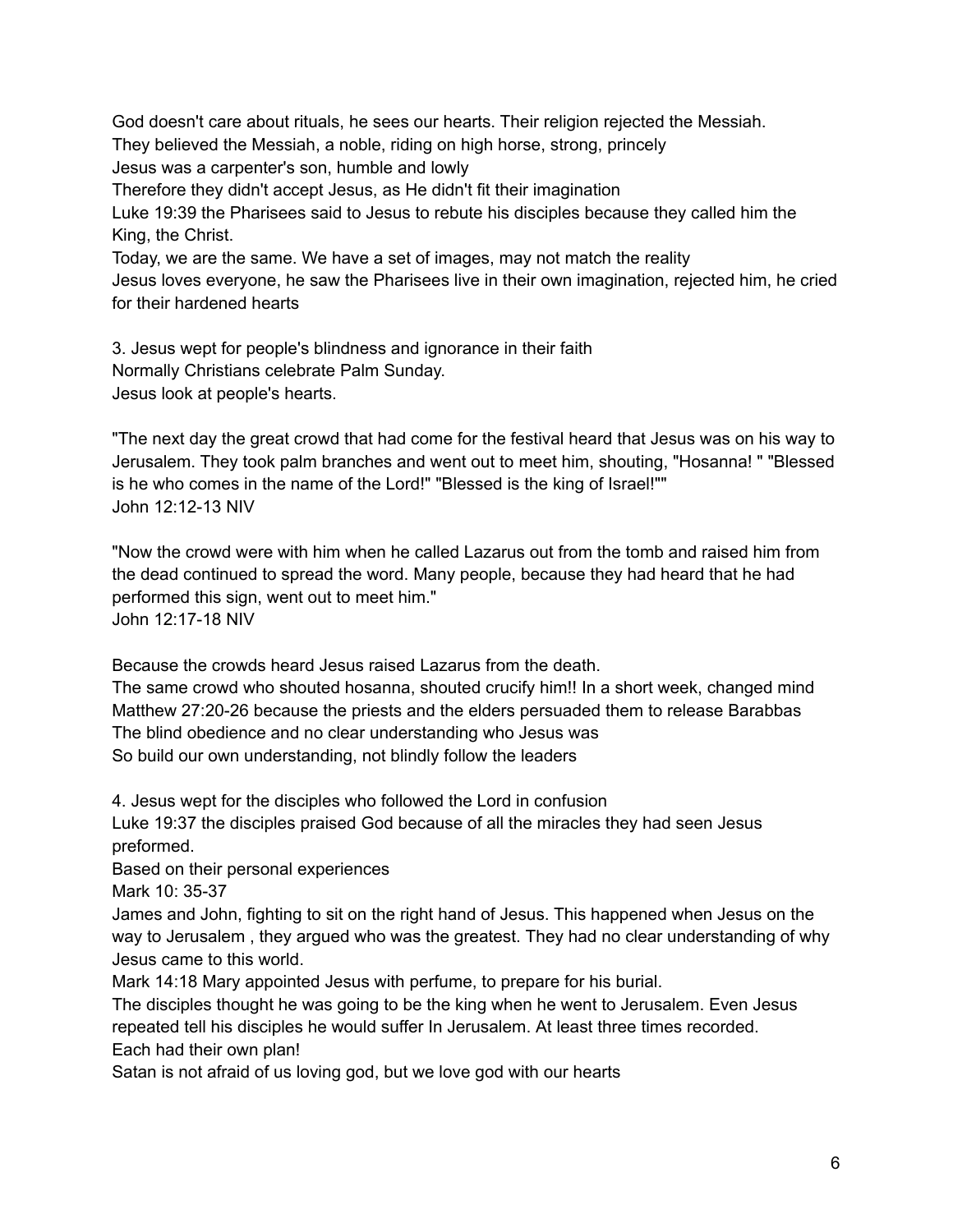God doesn't care about rituals, he sees our hearts. Their religion rejected the Messiah. They believed the Messiah, a noble, riding on high horse, strong, princely Jesus was a carpenter's son, humble and lowly Therefore they didn't accept Jesus, as He didn't fit their imagination Luke 19:39 the Pharisees said to Jesus to rebute his disciples because they called him the King, the Christ. Today, we are the same. We have a set of images, may not match the reality Jesus loves everyone, he saw the Pharisees live in their own imagination, rejected him, he cried for their hardened hearts

3. Jesus wept for people's blindness and ignorance in their faith Normally Christians celebrate Palm Sunday. Jesus look at people's hearts.

"The next day the great crowd that had come for the festival heard that Jesus was on his way to Jerusalem. They took palm branches and went out to meet him, shouting, "Hosanna! " "Blessed is he who comes in the name of the Lord!" "Blessed is the king of Israel!"" John 12:12-13 NIV

"Now the crowd were with him when he called Lazarus out from the tomb and raised him from the dead continued to spread the word. Many people, because they had heard that he had performed this sign, went out to meet him." John 12:17-18 NIV

Because the crowds heard Jesus raised Lazarus from the death.

The same crowd who shouted hosanna, shouted crucify him!! In a short week, changed mind Matthew 27:20-26 because the priests and the elders persuaded them to release Barabbas The blind obedience and no clear understanding who Jesus was So build our own understanding, not blindly follow the leaders

4. Jesus wept for the disciples who followed the Lord in confusion

Luke 19:37 the disciples praised God because of all the miracles they had seen Jesus preformed.

Based on their personal experiences

Mark 10: 35-37

James and John, fighting to sit on the right hand of Jesus. This happened when Jesus on the way to Jerusalem , they argued who was the greatest. They had no clear understanding of why Jesus came to this world.

Mark 14:18 Mary appointed Jesus with perfume, to prepare for his burial.

The disciples thought he was going to be the king when he went to Jerusalem. Even Jesus repeated tell his disciples he would suffer In Jerusalem. At least three times recorded. Each had their own plan!

Satan is not afraid of us loving god, but we love god with our hearts